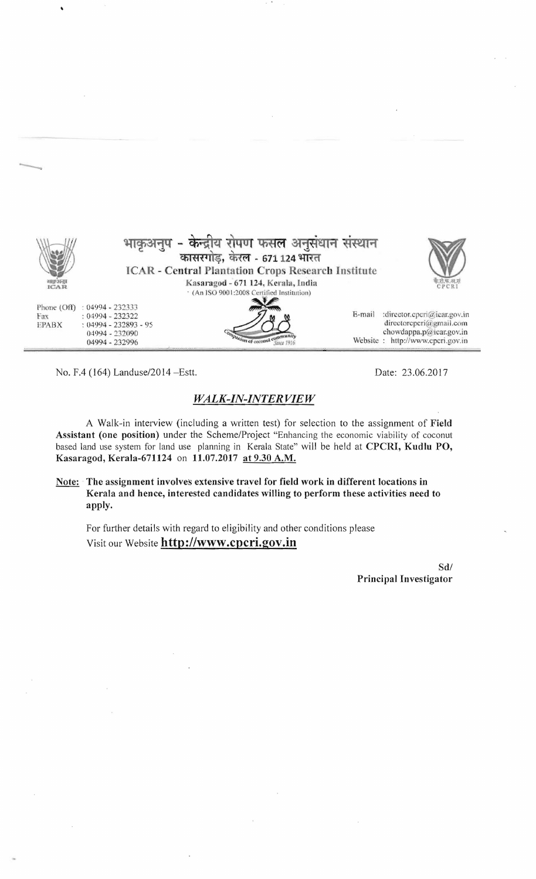|                                    | - केन्द्रीय रोपण फसल अनुसंधान संस्थान<br>कासरगोड़, केरल - 671 124 भारत<br><b>ICAR - Central Plantation Crops Research Institute</b>     |        |                                                                                                                       |
|------------------------------------|-----------------------------------------------------------------------------------------------------------------------------------------|--------|-----------------------------------------------------------------------------------------------------------------------|
| おぼわりをむ<br>ICAR                     | Kasaragod - 671 124, Kerala, India<br>' (An ISO 9001:2008 Certified Institution)                                                        |        | <b>CPCRI</b>                                                                                                          |
| Phone (Off)<br>Fax<br><b>EPABX</b> | $: 04994 - 232333$<br>$: 04994 - 232322$<br>$: 04994 - 232893 - 95$<br>04994 - 232090<br>ompanion of coconut communit<br>04994 - 232996 | E-mail | :director.cpcri@icar.gov.in<br>directorcpcri@gmail.com<br>chowdappa.p@icar.gov.in<br>Website: http://www.cpcri.gov.in |

No. F.4 (164) Landuse/2014 – Estt. Date: 23.06.2017

--

.

## *WALK-IN-INTER VIE W*

A Walk-in interview (including a written test) for selection to the assignment of **Field Assistant (one position)** under the Scheme/Project "Enhancing the economic viability of coconut based land use system for land use planning in Kerala State" will be held at **CPCRI, Kudlu PO, Kasaragod, Kerala-671124 on 11.07.2017 at 9.30 A.M.** 

Note: The assignment involves extensive travel for field work in different locations in **Kerala and hence, interested candidates willing to perform these activities need to apply.** 

For further details with regard to eligibility and other conditions please Visit our Website **http://www.cpcri.gov.in** 

> Sd/ **Principal Investigator**